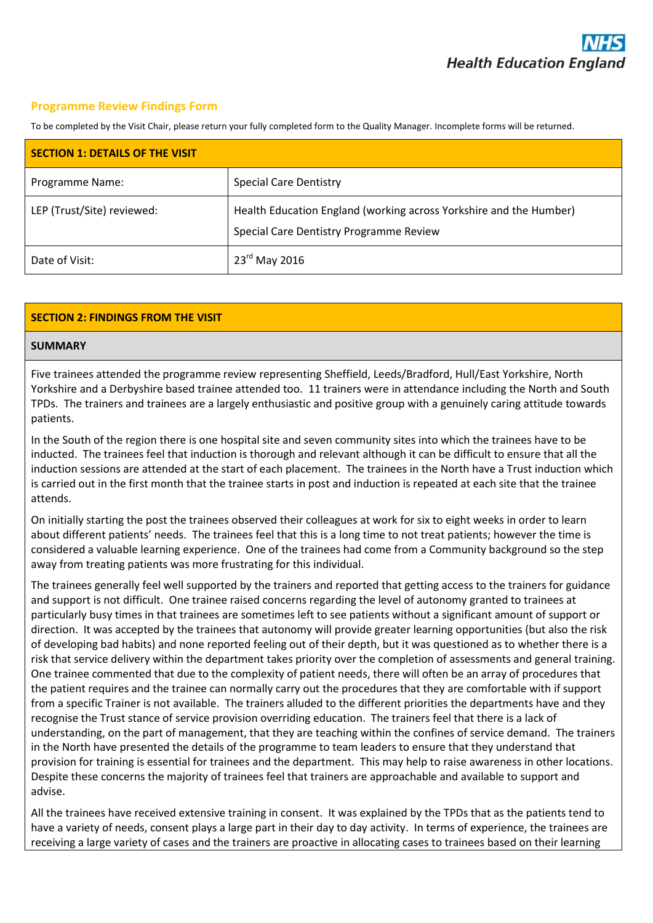### **Programme Review Findings Form**

To be completed by the Visit Chair, please return your fully completed form to the Quality Manager. Incomplete forms will be returned.

| <b>SECTION 1: DETAILS OF THE VISIT</b> |                                                                                                               |
|----------------------------------------|---------------------------------------------------------------------------------------------------------------|
| Programme Name:                        | <b>Special Care Dentistry</b>                                                                                 |
| LEP (Trust/Site) reviewed:             | Health Education England (working across Yorkshire and the Humber)<br>Special Care Dentistry Programme Review |
| Date of Visit:                         | $23^{\text{rd}}$ May 2016                                                                                     |

### **SECTION 2: FINDINGS FROM THE VISIT**

#### **SUMMARY**

Five trainees attended the programme review representing Sheffield, Leeds/Bradford, Hull/East Yorkshire, North Yorkshire and a Derbyshire based trainee attended too. 11 trainers were in attendance including the North and South TPDs. The trainers and trainees are a largely enthusiastic and positive group with a genuinely caring attitude towards patients.

In the South of the region there is one hospital site and seven community sites into which the trainees have to be inducted. The trainees feel that induction is thorough and relevant although it can be difficult to ensure that all the induction sessions are attended at the start of each placement. The trainees in the North have a Trust induction which is carried out in the first month that the trainee starts in post and induction is repeated at each site that the trainee attends.

On initially starting the post the trainees observed their colleagues at work for six to eight weeks in order to learn about different patients' needs. The trainees feel that this is a long time to not treat patients; however the time is considered a valuable learning experience. One of the trainees had come from a Community background so the step away from treating patients was more frustrating for this individual.

The trainees generally feel well supported by the trainers and reported that getting access to the trainers for guidance and support is not difficult. One trainee raised concerns regarding the level of autonomy granted to trainees at particularly busy times in that trainees are sometimes left to see patients without a significant amount of support or direction. It was accepted by the trainees that autonomy will provide greater learning opportunities (but also the risk of developing bad habits) and none reported feeling out of their depth, but it was questioned as to whether there is a risk that service delivery within the department takes priority over the completion of assessments and general training. One trainee commented that due to the complexity of patient needs, there will often be an array of procedures that the patient requires and the trainee can normally carry out the procedures that they are comfortable with if support from a specific Trainer is not available. The trainers alluded to the different priorities the departments have and they recognise the Trust stance of service provision overriding education. The trainers feel that there is a lack of understanding, on the part of management, that they are teaching within the confines of service demand. The trainers in the North have presented the details of the programme to team leaders to ensure that they understand that provision for training is essential for trainees and the department. This may help to raise awareness in other locations. Despite these concerns the majority of trainees feel that trainers are approachable and available to support and advise.

All the trainees have received extensive training in consent. It was explained by the TPDs that as the patients tend to have a variety of needs, consent plays a large part in their day to day activity. In terms of experience, the trainees are receiving a large variety of cases and the trainers are proactive in allocating cases to trainees based on their learning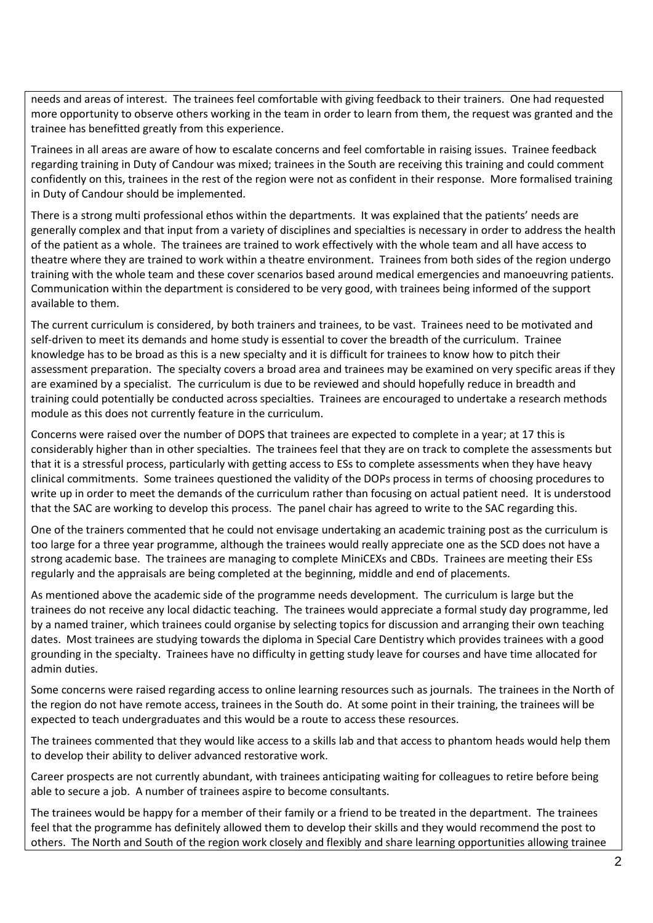needs and areas of interest. The trainees feel comfortable with giving feedback to their trainers. One had requested more opportunity to observe others working in the team in order to learn from them, the request was granted and the trainee has benefitted greatly from this experience.

Trainees in all areas are aware of how to escalate concerns and feel comfortable in raising issues. Trainee feedback regarding training in Duty of Candour was mixed; trainees in the South are receiving this training and could comment confidently on this, trainees in the rest of the region were not as confident in their response. More formalised training in Duty of Candour should be implemented.

There is a strong multi professional ethos within the departments. It was explained that the patients' needs are generally complex and that input from a variety of disciplines and specialties is necessary in order to address the health of the patient as a whole. The trainees are trained to work effectively with the whole team and all have access to theatre where they are trained to work within a theatre environment. Trainees from both sides of the region undergo training with the whole team and these cover scenarios based around medical emergencies and manoeuvring patients. Communication within the department is considered to be very good, with trainees being informed of the support available to them.

The current curriculum is considered, by both trainers and trainees, to be vast. Trainees need to be motivated and self-driven to meet its demands and home study is essential to cover the breadth of the curriculum. Trainee knowledge has to be broad as this is a new specialty and it is difficult for trainees to know how to pitch their assessment preparation. The specialty covers a broad area and trainees may be examined on very specific areas if they are examined by a specialist. The curriculum is due to be reviewed and should hopefully reduce in breadth and training could potentially be conducted across specialties. Trainees are encouraged to undertake a research methods module as this does not currently feature in the curriculum.

Concerns were raised over the number of DOPS that trainees are expected to complete in a year; at 17 this is considerably higher than in other specialties. The trainees feel that they are on track to complete the assessments but that it is a stressful process, particularly with getting access to ESs to complete assessments when they have heavy clinical commitments. Some trainees questioned the validity of the DOPs process in terms of choosing procedures to write up in order to meet the demands of the curriculum rather than focusing on actual patient need. It is understood that the SAC are working to develop this process. The panel chair has agreed to write to the SAC regarding this.

One of the trainers commented that he could not envisage undertaking an academic training post as the curriculum is too large for a three year programme, although the trainees would really appreciate one as the SCD does not have a strong academic base. The trainees are managing to complete MiniCEXs and CBDs. Trainees are meeting their ESs regularly and the appraisals are being completed at the beginning, middle and end of placements.

As mentioned above the academic side of the programme needs development. The curriculum is large but the trainees do not receive any local didactic teaching. The trainees would appreciate a formal study day programme, led by a named trainer, which trainees could organise by selecting topics for discussion and arranging their own teaching dates. Most trainees are studying towards the diploma in Special Care Dentistry which provides trainees with a good grounding in the specialty. Trainees have no difficulty in getting study leave for courses and have time allocated for admin duties.

Some concerns were raised regarding access to online learning resources such as journals. The trainees in the North of the region do not have remote access, trainees in the South do. At some point in their training, the trainees will be expected to teach undergraduates and this would be a route to access these resources.

The trainees commented that they would like access to a skills lab and that access to phantom heads would help them to develop their ability to deliver advanced restorative work.

Career prospects are not currently abundant, with trainees anticipating waiting for colleagues to retire before being able to secure a job. A number of trainees aspire to become consultants.

The trainees would be happy for a member of their family or a friend to be treated in the department. The trainees feel that the programme has definitely allowed them to develop their skills and they would recommend the post to others. The North and South of the region work closely and flexibly and share learning opportunities allowing trainee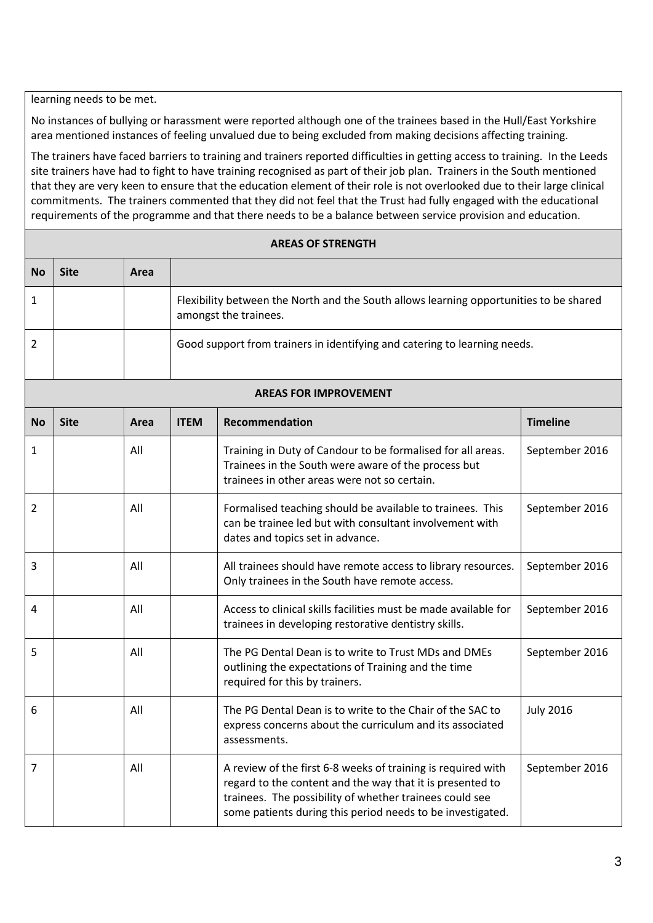learning needs to be met.

No instances of bullying or harassment were reported although one of the trainees based in the Hull/East Yorkshire area mentioned instances of feeling unvalued due to being excluded from making decisions affecting training.

The trainers have faced barriers to training and trainers reported difficulties in getting access to training. In the Leeds site trainers have had to fight to have training recognised as part of their job plan. Trainers in the South mentioned that they are very keen to ensure that the education element of their role is not overlooked due to their large clinical commitments. The trainers commented that they did not feel that the Trust had fully engaged with the educational requirements of the programme and that there needs to be a balance between service provision and education.

# **AREAS OF STRENGTH No Site Area** 1 Flexibility between the North and the South allows learning opportunities to be shared amongst the trainees. 2 | Good support from trainers in identifying and catering to learning needs. **AREAS FOR IMPROVEMENT No Site Area ITEM Recommendation Timeline** 1 | All | Training in Duty of Candour to be formalised for all areas. Trainees in the South were aware of the process but trainees in other areas were not so certain. September 2016 2 All **All Formalised teaching should be available to trainees.** This can be trainee led but with consultant involvement with dates and topics set in advance. September 2016 3 All All trainees should have remote access to library resources. Only trainees in the South have remote access. September 2016 4 All Access to clinical skills facilities must be made available for trainees in developing restorative dentistry skills. September 2016 5 All All The PG Dental Dean is to write to Trust MDs and DMEs outlining the expectations of Training and the time required for this by trainers. September 2016 6 All All The PG Dental Dean is to write to the Chair of the SAC to express concerns about the curriculum and its associated assessments. July 2016 7 | All | Ann areview of the first 6-8 weeks of training is required with regard to the content and the way that it is presented to trainees. The possibility of whether trainees could see some patients during this period needs to be investigated. September 2016